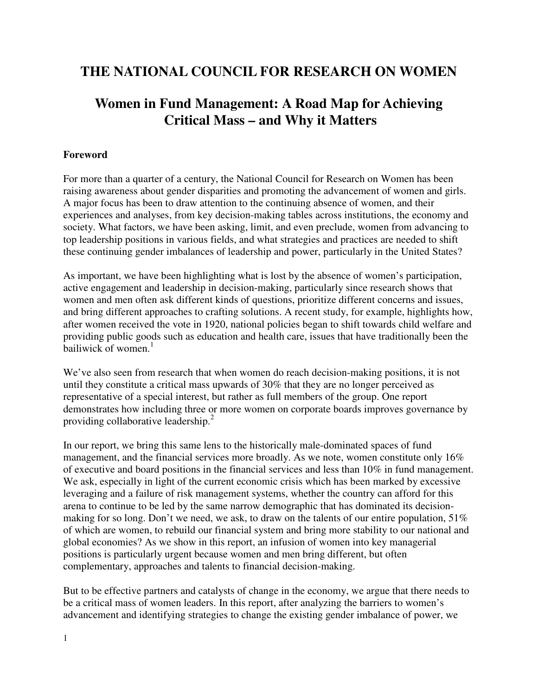# **THE NATIONAL COUNCIL FOR RESEARCH ON WOMEN**

# **Women in Fund Management: A Road Map for Achieving Critical Mass – and Why it Matters**

#### **Foreword**

For more than a quarter of a century, the National Council for Research on Women has been raising awareness about gender disparities and promoting the advancement of women and girls. A major focus has been to draw attention to the continuing absence of women, and their experiences and analyses, from key decision-making tables across institutions, the economy and society. What factors, we have been asking, limit, and even preclude, women from advancing to top leadership positions in various fields, and what strategies and practices are needed to shift these continuing gender imbalances of leadership and power, particularly in the United States?

As important, we have been highlighting what is lost by the absence of women's participation, active engagement and leadership in decision-making, particularly since research shows that women and men often ask different kinds of questions, prioritize different concerns and issues, and bring different approaches to crafting solutions. A recent study, for example, highlights how, after women received the vote in 1920, national policies began to shift towards child welfare and providing public goods such as education and health care, issues that have traditionally been the bailiwick of women. $<sup>1</sup>$ </sup>

We've also seen from research that when women do reach decision-making positions, it is not until they constitute a critical mass upwards of 30% that they are no longer perceived as representative of a special interest, but rather as full members of the group. One report demonstrates how including three or more women on corporate boards improves governance by providing collaborative leadership.<sup>2</sup>

In our report, we bring this same lens to the historically male-dominated spaces of fund management, and the financial services more broadly. As we note, women constitute only 16% of executive and board positions in the financial services and less than 10% in fund management. We ask, especially in light of the current economic crisis which has been marked by excessive leveraging and a failure of risk management systems, whether the country can afford for this arena to continue to be led by the same narrow demographic that has dominated its decisionmaking for so long. Don't we need, we ask, to draw on the talents of our entire population, 51% of which are women, to rebuild our financial system and bring more stability to our national and global economies? As we show in this report, an infusion of women into key managerial positions is particularly urgent because women and men bring different, but often complementary, approaches and talents to financial decision-making.

But to be effective partners and catalysts of change in the economy, we argue that there needs to be a critical mass of women leaders. In this report, after analyzing the barriers to women's advancement and identifying strategies to change the existing gender imbalance of power, we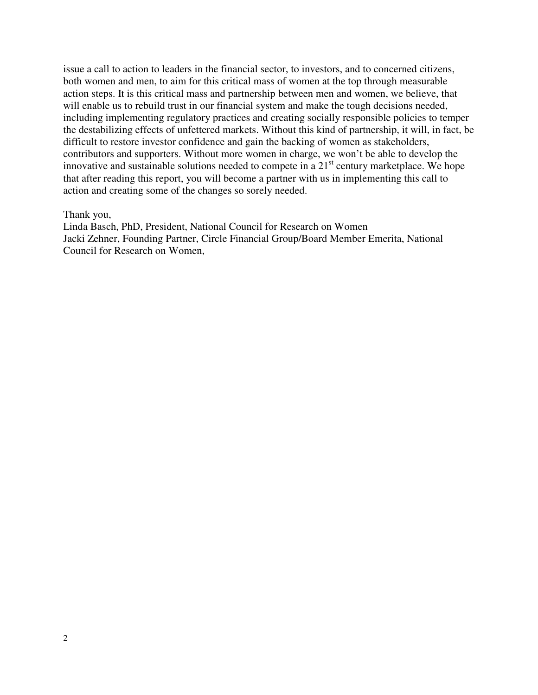issue a call to action to leaders in the financial sector, to investors, and to concerned citizens, both women and men, to aim for this critical mass of women at the top through measurable action steps. It is this critical mass and partnership between men and women, we believe, that will enable us to rebuild trust in our financial system and make the tough decisions needed, including implementing regulatory practices and creating socially responsible policies to temper the destabilizing effects of unfettered markets. Without this kind of partnership, it will, in fact, be difficult to restore investor confidence and gain the backing of women as stakeholders, contributors and supporters. Without more women in charge, we won't be able to develop the innovative and sustainable solutions needed to compete in a  $21<sup>st</sup>$  century marketplace. We hope that after reading this report, you will become a partner with us in implementing this call to action and creating some of the changes so sorely needed.

#### Thank you,

Linda Basch, PhD, President, National Council for Research on Women Jacki Zehner, Founding Partner, Circle Financial Group/Board Member Emerita, National Council for Research on Women,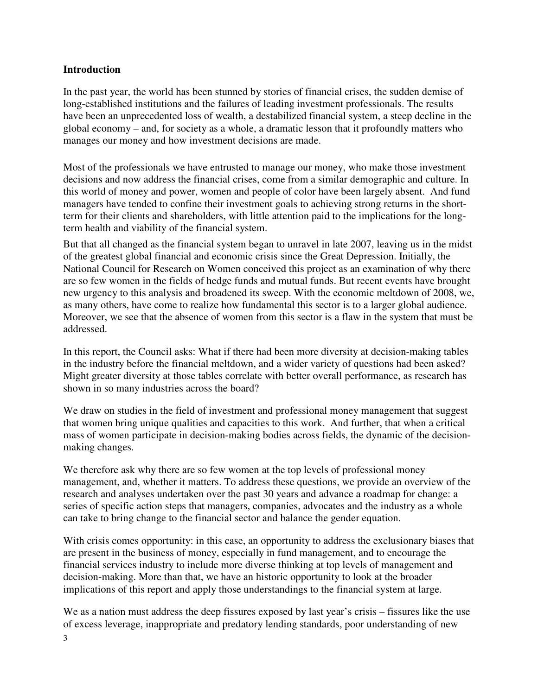#### **Introduction**

In the past year, the world has been stunned by stories of financial crises, the sudden demise of long-established institutions and the failures of leading investment professionals. The results have been an unprecedented loss of wealth, a destabilized financial system, a steep decline in the global economy – and, for society as a whole, a dramatic lesson that it profoundly matters who manages our money and how investment decisions are made.

Most of the professionals we have entrusted to manage our money, who make those investment decisions and now address the financial crises, come from a similar demographic and culture. In this world of money and power, women and people of color have been largely absent. And fund managers have tended to confine their investment goals to achieving strong returns in the shortterm for their clients and shareholders, with little attention paid to the implications for the longterm health and viability of the financial system.

But that all changed as the financial system began to unravel in late 2007, leaving us in the midst of the greatest global financial and economic crisis since the Great Depression. Initially, the National Council for Research on Women conceived this project as an examination of why there are so few women in the fields of hedge funds and mutual funds. But recent events have brought new urgency to this analysis and broadened its sweep. With the economic meltdown of 2008, we, as many others, have come to realize how fundamental this sector is to a larger global audience. Moreover, we see that the absence of women from this sector is a flaw in the system that must be addressed.

In this report, the Council asks: What if there had been more diversity at decision-making tables in the industry before the financial meltdown, and a wider variety of questions had been asked? Might greater diversity at those tables correlate with better overall performance, as research has shown in so many industries across the board?

We draw on studies in the field of investment and professional money management that suggest that women bring unique qualities and capacities to this work. And further, that when a critical mass of women participate in decision-making bodies across fields, the dynamic of the decisionmaking changes.

We therefore ask why there are so few women at the top levels of professional money management, and, whether it matters. To address these questions, we provide an overview of the research and analyses undertaken over the past 30 years and advance a roadmap for change: a series of specific action steps that managers, companies, advocates and the industry as a whole can take to bring change to the financial sector and balance the gender equation.

With crisis comes opportunity: in this case, an opportunity to address the exclusionary biases that are present in the business of money, especially in fund management, and to encourage the financial services industry to include more diverse thinking at top levels of management and decision-making. More than that, we have an historic opportunity to look at the broader implications of this report and apply those understandings to the financial system at large.

We as a nation must address the deep fissures exposed by last year's crisis – fissures like the use of excess leverage, inappropriate and predatory lending standards, poor understanding of new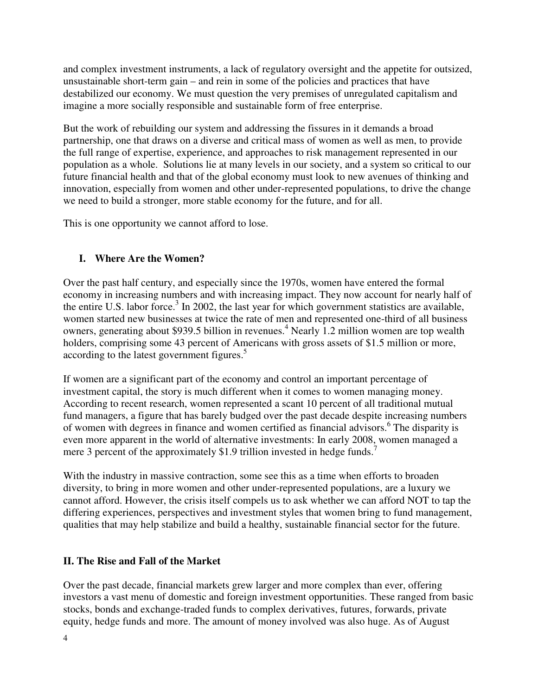and complex investment instruments, a lack of regulatory oversight and the appetite for outsized, unsustainable short-term gain – and rein in some of the policies and practices that have destabilized our economy. We must question the very premises of unregulated capitalism and imagine a more socially responsible and sustainable form of free enterprise.

But the work of rebuilding our system and addressing the fissures in it demands a broad partnership, one that draws on a diverse and critical mass of women as well as men, to provide the full range of expertise, experience, and approaches to risk management represented in our population as a whole. Solutions lie at many levels in our society, and a system so critical to our future financial health and that of the global economy must look to new avenues of thinking and innovation, especially from women and other under-represented populations, to drive the change we need to build a stronger, more stable economy for the future, and for all.

This is one opportunity we cannot afford to lose.

### **I. Where Are the Women?**

Over the past half century, and especially since the 1970s, women have entered the formal economy in increasing numbers and with increasing impact. They now account for nearly half of the entire U.S. labor force.<sup>3</sup> In 2002, the last year for which government statistics are available, women started new businesses at twice the rate of men and represented one-third of all business owners, generating about \$939.5 billion in revenues.<sup>4</sup> Nearly 1.2 million women are top wealth holders, comprising some 43 percent of Americans with gross assets of \$1.5 million or more, according to the latest government figures.<sup>5</sup>

If women are a significant part of the economy and control an important percentage of investment capital, the story is much different when it comes to women managing money. According to recent research, women represented a scant 10 percent of all traditional mutual fund managers, a figure that has barely budged over the past decade despite increasing numbers of women with degrees in finance and women certified as financial advisors.<sup>6</sup> The disparity is even more apparent in the world of alternative investments: In early 2008, women managed a mere 3 percent of the approximately \$1.9 trillion invested in hedge funds.<sup>7</sup>

With the industry in massive contraction, some see this as a time when efforts to broaden diversity, to bring in more women and other under-represented populations, are a luxury we cannot afford. However, the crisis itself compels us to ask whether we can afford NOT to tap the differing experiences, perspectives and investment styles that women bring to fund management, qualities that may help stabilize and build a healthy, sustainable financial sector for the future.

#### **II. The Rise and Fall of the Market**

Over the past decade, financial markets grew larger and more complex than ever, offering investors a vast menu of domestic and foreign investment opportunities. These ranged from basic stocks, bonds and exchange-traded funds to complex derivatives, futures, forwards, private equity, hedge funds and more. The amount of money involved was also huge. As of August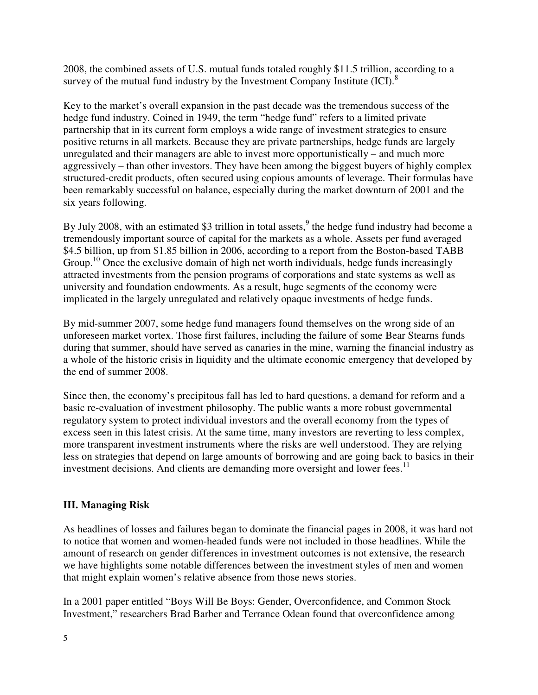2008, the combined assets of U.S. mutual funds totaled roughly \$11.5 trillion, according to a survey of the mutual fund industry by the Investment Company Institute  ${(ICI)}$ .<sup>8</sup>

Key to the market's overall expansion in the past decade was the tremendous success of the hedge fund industry. Coined in 1949, the term "hedge fund" refers to a limited private partnership that in its current form employs a wide range of investment strategies to ensure positive returns in all markets. Because they are private partnerships, hedge funds are largely unregulated and their managers are able to invest more opportunistically – and much more aggressively – than other investors. They have been among the biggest buyers of highly complex structured-credit products, often secured using copious amounts of leverage. Their formulas have been remarkably successful on balance, especially during the market downturn of 2001 and the six years following.

By July 2008, with an estimated \$3 trillion in total assets,  $9$  the hedge fund industry had become a tremendously important source of capital for the markets as a whole. Assets per fund averaged \$4.5 billion, up from \$1.85 billion in 2006, according to a report from the Boston-based TABB Group.<sup>10</sup> Once the exclusive domain of high net worth individuals, hedge funds increasingly attracted investments from the pension programs of corporations and state systems as well as university and foundation endowments. As a result, huge segments of the economy were implicated in the largely unregulated and relatively opaque investments of hedge funds.

By mid-summer 2007, some hedge fund managers found themselves on the wrong side of an unforeseen market vortex. Those first failures, including the failure of some Bear Stearns funds during that summer, should have served as canaries in the mine, warning the financial industry as a whole of the historic crisis in liquidity and the ultimate economic emergency that developed by the end of summer 2008.

Since then, the economy's precipitous fall has led to hard questions, a demand for reform and a basic re-evaluation of investment philosophy. The public wants a more robust governmental regulatory system to protect individual investors and the overall economy from the types of excess seen in this latest crisis. At the same time, many investors are reverting to less complex, more transparent investment instruments where the risks are well understood. They are relying less on strategies that depend on large amounts of borrowing and are going back to basics in their investment decisions. And clients are demanding more oversight and lower fees.<sup>11</sup>

#### **III. Managing Risk**

As headlines of losses and failures began to dominate the financial pages in 2008, it was hard not to notice that women and women-headed funds were not included in those headlines. While the amount of research on gender differences in investment outcomes is not extensive, the research we have highlights some notable differences between the investment styles of men and women that might explain women's relative absence from those news stories.

In a 2001 paper entitled "Boys Will Be Boys: Gender, Overconfidence, and Common Stock Investment," researchers Brad Barber and Terrance Odean found that overconfidence among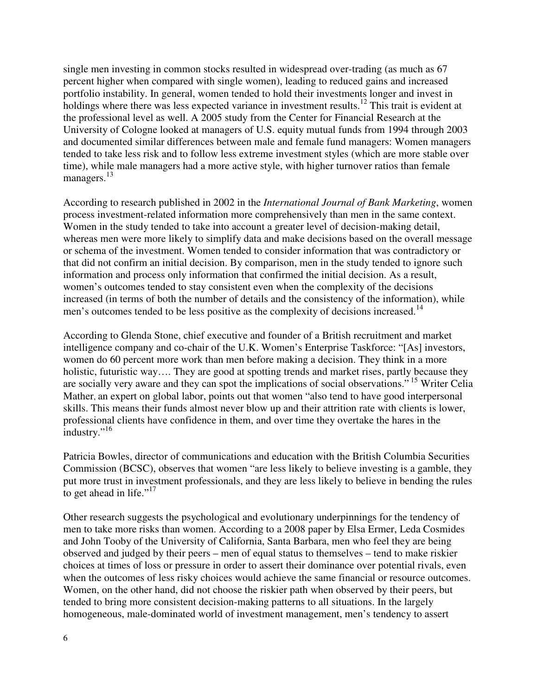single men investing in common stocks resulted in widespread over-trading (as much as 67 percent higher when compared with single women), leading to reduced gains and increased portfolio instability. In general, women tended to hold their investments longer and invest in holdings where there was less expected variance in investment results.<sup>12</sup> This trait is evident at the professional level as well. A 2005 study from the Center for Financial Research at the University of Cologne looked at managers of U.S. equity mutual funds from 1994 through 2003 and documented similar differences between male and female fund managers: Women managers tended to take less risk and to follow less extreme investment styles (which are more stable over time), while male managers had a more active style, with higher turnover ratios than female managers.<sup>13</sup>

According to research published in 2002 in the *International Journal of Bank Marketing*, women process investment-related information more comprehensively than men in the same context. Women in the study tended to take into account a greater level of decision-making detail, whereas men were more likely to simplify data and make decisions based on the overall message or schema of the investment. Women tended to consider information that was contradictory or that did not confirm an initial decision. By comparison, men in the study tended to ignore such information and process only information that confirmed the initial decision. As a result, women's outcomes tended to stay consistent even when the complexity of the decisions increased (in terms of both the number of details and the consistency of the information), while men's outcomes tended to be less positive as the complexity of decisions increased.<sup>14</sup>

According to Glenda Stone, chief executive and founder of a British recruitment and market intelligence company and co-chair of the U.K. Women's Enterprise Taskforce: "[As] investors, women do 60 percent more work than men before making a decision. They think in a more holistic, futuristic way.... They are good at spotting trends and market rises, partly because they are socially very aware and they can spot the implications of social observations."<sup>15</sup> Writer Celia Mather, an expert on global labor, points out that women "also tend to have good interpersonal skills. This means their funds almost never blow up and their attrition rate with clients is lower, professional clients have confidence in them, and over time they overtake the hares in the industry."<sup>16</sup>

Patricia Bowles, director of communications and education with the British Columbia Securities Commission (BCSC), observes that women "are less likely to believe investing is a gamble, they put more trust in investment professionals, and they are less likely to believe in bending the rules to get ahead in life." $17$ 

Other research suggests the psychological and evolutionary underpinnings for the tendency of men to take more risks than women. According to a 2008 paper by Elsa Ermer, Leda Cosmides and John Tooby of the University of California, Santa Barbara, men who feel they are being observed and judged by their peers – men of equal status to themselves – tend to make riskier choices at times of loss or pressure in order to assert their dominance over potential rivals, even when the outcomes of less risky choices would achieve the same financial or resource outcomes. Women, on the other hand, did not choose the riskier path when observed by their peers, but tended to bring more consistent decision-making patterns to all situations. In the largely homogeneous, male-dominated world of investment management, men's tendency to assert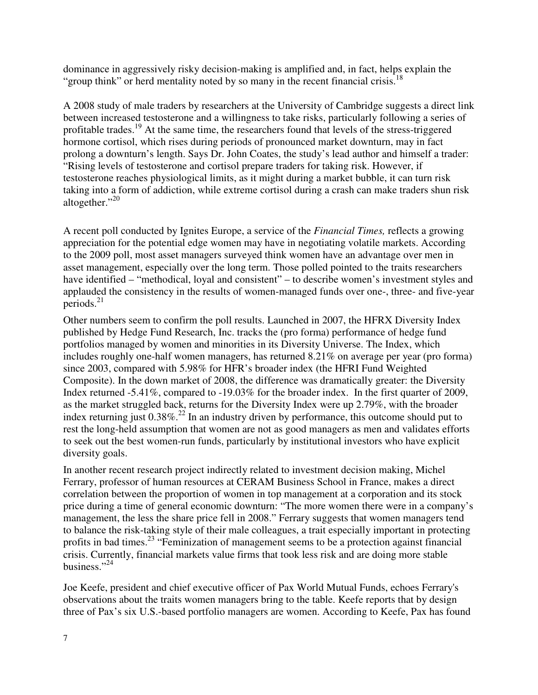dominance in aggressively risky decision-making is amplified and, in fact, helps explain the "group think" or herd mentality noted by so many in the recent financial crisis.<sup>18</sup>

A 2008 study of male traders by researchers at the University of Cambridge suggests a direct link between increased testosterone and a willingness to take risks, particularly following a series of profitable trades.<sup>19</sup> At the same time, the researchers found that levels of the stress-triggered hormone cortisol, which rises during periods of pronounced market downturn, may in fact prolong a downturn's length. Says Dr. John Coates, the study's lead author and himself a trader: "Rising levels of testosterone and cortisol prepare traders for taking risk. However, if testosterone reaches physiological limits, as it might during a market bubble, it can turn risk taking into a form of addiction, while extreme cortisol during a crash can make traders shun risk altogether."20

A recent poll conducted by Ignites Europe, a service of the *Financial Times,* reflects a growing appreciation for the potential edge women may have in negotiating volatile markets. According to the 2009 poll, most asset managers surveyed think women have an advantage over men in asset management, especially over the long term. Those polled pointed to the traits researchers have identified – "methodical, loyal and consistent" – to describe women's investment styles and applauded the consistency in the results of women-managed funds over one-, three- and five-year periods. $^{21}$ 

Other numbers seem to confirm the poll results. Launched in 2007, the HFRX Diversity Index published by Hedge Fund Research, Inc. tracks the (pro forma) performance of hedge fund portfolios managed by women and minorities in its Diversity Universe. The Index, which includes roughly one-half women managers, has returned 8.21% on average per year (pro forma) since 2003, compared with 5.98% for HFR's broader index (the HFRI Fund Weighted Composite). In the down market of 2008, the difference was dramatically greater: the Diversity Index returned -5.41%, compared to -19.03% for the broader index. In the first quarter of 2009, as the market struggled back, returns for the Diversity Index were up 2.79%, with the broader index returning just  $0.38\%$ <sup>22</sup>. In an industry driven by performance, this outcome should put to rest the long-held assumption that women are not as good managers as men and validates efforts to seek out the best women-run funds, particularly by institutional investors who have explicit diversity goals.

In another recent research project indirectly related to investment decision making, Michel Ferrary, professor of human resources at CERAM Business School in France, makes a direct correlation between the proportion of women in top management at a corporation and its stock price during a time of general economic downturn: "The more women there were in a company's management, the less the share price fell in 2008." Ferrary suggests that women managers tend to balance the risk-taking style of their male colleagues, a trait especially important in protecting profits in bad times.<sup>23</sup> "Feminization of management seems to be a protection against financial crisis. Currently, financial markets value firms that took less risk and are doing more stable business."<sup>24</sup>

Joe Keefe, president and chief executive officer of Pax World Mutual Funds, echoes Ferrary's observations about the traits women managers bring to the table. Keefe reports that by design three of Pax's six U.S.-based portfolio managers are women. According to Keefe, Pax has found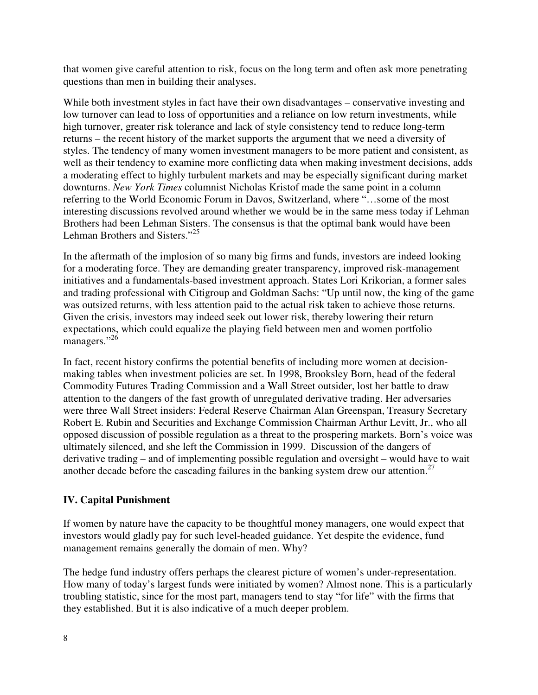that women give careful attention to risk, focus on the long term and often ask more penetrating questions than men in building their analyses.

While both investment styles in fact have their own disadvantages – conservative investing and low turnover can lead to loss of opportunities and a reliance on low return investments, while high turnover, greater risk tolerance and lack of style consistency tend to reduce long-term returns – the recent history of the market supports the argument that we need a diversity of styles. The tendency of many women investment managers to be more patient and consistent, as well as their tendency to examine more conflicting data when making investment decisions, adds a moderating effect to highly turbulent markets and may be especially significant during market downturns. *New York Times* columnist Nicholas Kristof made the same point in a column referring to the World Economic Forum in Davos, Switzerland, where "…some of the most interesting discussions revolved around whether we would be in the same mess today if Lehman Brothers had been Lehman Sisters. The consensus is that the optimal bank would have been Lehman Brothers and Sisters."<sup>25</sup>

In the aftermath of the implosion of so many big firms and funds, investors are indeed looking for a moderating force. They are demanding greater transparency, improved risk-management initiatives and a fundamentals-based investment approach. States Lori Krikorian, a former sales and trading professional with Citigroup and Goldman Sachs: "Up until now, the king of the game was outsized returns, with less attention paid to the actual risk taken to achieve those returns. Given the crisis, investors may indeed seek out lower risk, thereby lowering their return expectations, which could equalize the playing field between men and women portfolio managers."<sup>26</sup>

In fact, recent history confirms the potential benefits of including more women at decisionmaking tables when investment policies are set. In 1998, Brooksley Born, head of the federal Commodity Futures Trading Commission and a Wall Street outsider, lost her battle to draw attention to the dangers of the fast growth of unregulated derivative trading. Her adversaries were three Wall Street insiders: Federal Reserve Chairman Alan Greenspan, Treasury Secretary Robert E. Rubin and Securities and Exchange Commission Chairman Arthur Levitt, Jr., who all opposed discussion of possible regulation as a threat to the prospering markets. Born's voice was ultimately silenced, and she left the Commission in 1999. Discussion of the dangers of derivative trading – and of implementing possible regulation and oversight – would have to wait another decade before the cascading failures in the banking system drew our attention.<sup>27</sup>

#### **IV. Capital Punishment**

If women by nature have the capacity to be thoughtful money managers, one would expect that investors would gladly pay for such level-headed guidance. Yet despite the evidence, fund management remains generally the domain of men. Why?

The hedge fund industry offers perhaps the clearest picture of women's under-representation. How many of today's largest funds were initiated by women? Almost none. This is a particularly troubling statistic, since for the most part, managers tend to stay "for life" with the firms that they established. But it is also indicative of a much deeper problem.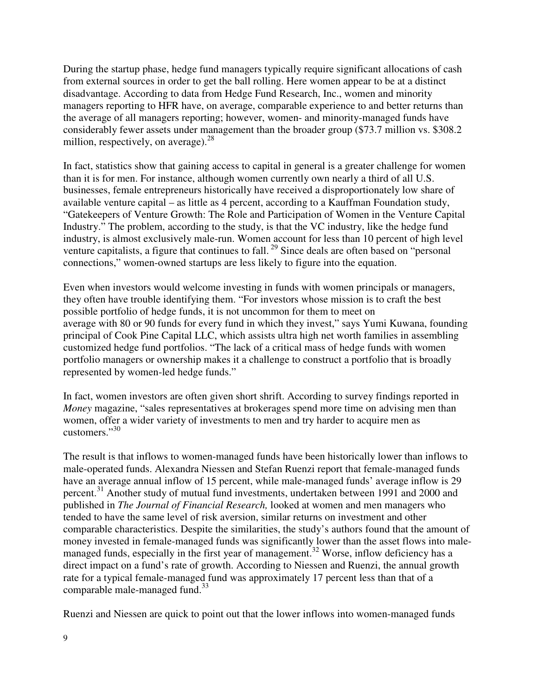During the startup phase, hedge fund managers typically require significant allocations of cash from external sources in order to get the ball rolling. Here women appear to be at a distinct disadvantage. According to data from Hedge Fund Research, Inc., women and minority managers reporting to HFR have, on average, comparable experience to and better returns than the average of all managers reporting; however, women- and minority-managed funds have considerably fewer assets under management than the broader group (\$73.7 million vs. \$308.2 million, respectively, on average).  $28$ 

In fact, statistics show that gaining access to capital in general is a greater challenge for women than it is for men. For instance, although women currently own nearly a third of all U.S. businesses, female entrepreneurs historically have received a disproportionately low share of available venture capital – as little as 4 percent, according to a Kauffman Foundation study, "Gatekeepers of Venture Growth: The Role and Participation of Women in the Venture Capital Industry." The problem, according to the study, is that the VC industry, like the hedge fund industry, is almost exclusively male-run. Women account for less than 10 percent of high level venture capitalists, a figure that continues to fall.<sup>29</sup> Since deals are often based on "personal" connections," women-owned startups are less likely to figure into the equation.

Even when investors would welcome investing in funds with women principals or managers, they often have trouble identifying them. "For investors whose mission is to craft the best possible portfolio of hedge funds, it is not uncommon for them to meet on average with 80 or 90 funds for every fund in which they invest," says Yumi Kuwana, founding principal of Cook Pine Capital LLC, which assists ultra high net worth families in assembling customized hedge fund portfolios. "The lack of a critical mass of hedge funds with women portfolio managers or ownership makes it a challenge to construct a portfolio that is broadly represented by women-led hedge funds."

In fact, women investors are often given short shrift. According to survey findings reported in *Money* magazine, "sales representatives at brokerages spend more time on advising men than women, offer a wider variety of investments to men and try harder to acquire men as customers."<sup>30</sup>

The result is that inflows to women-managed funds have been historically lower than inflows to male-operated funds. Alexandra Niessen and Stefan Ruenzi report that female-managed funds have an average annual inflow of 15 percent, while male-managed funds' average inflow is 29 percent.<sup>31</sup> Another study of mutual fund investments, undertaken between 1991 and 2000 and published in *The Journal of Financial Research,* looked at women and men managers who tended to have the same level of risk aversion, similar returns on investment and other comparable characteristics. Despite the similarities, the study's authors found that the amount of money invested in female-managed funds was significantly lower than the asset flows into malemanaged funds, especially in the first year of management.<sup>32</sup> Worse, inflow deficiency has a direct impact on a fund's rate of growth. According to Niessen and Ruenzi, the annual growth rate for a typical female-managed fund was approximately 17 percent less than that of a comparable male-managed fund. $33$ 

Ruenzi and Niessen are quick to point out that the lower inflows into women-managed funds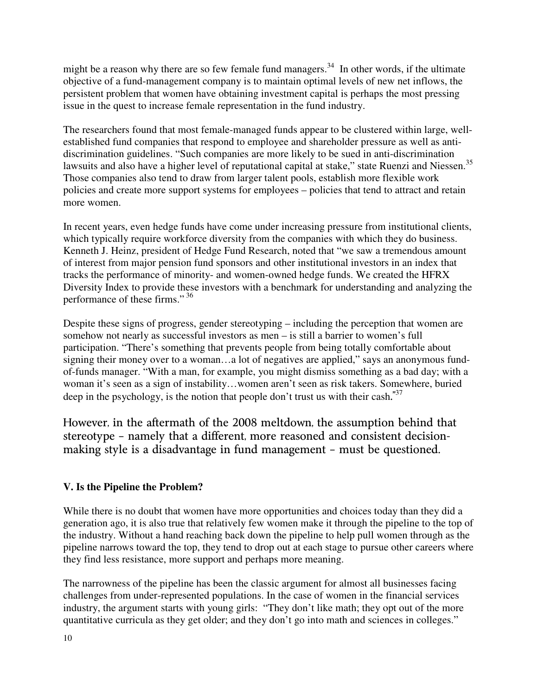might be a reason why there are so few female fund managers.<sup>34</sup> In other words, if the ultimate objective of a fund-management company is to maintain optimal levels of new net inflows, the persistent problem that women have obtaining investment capital is perhaps the most pressing issue in the quest to increase female representation in the fund industry.

The researchers found that most female-managed funds appear to be clustered within large, wellestablished fund companies that respond to employee and shareholder pressure as well as antidiscrimination guidelines. "Such companies are more likely to be sued in anti-discrimination lawsuits and also have a higher level of reputational capital at stake," state Ruenzi and Niessen.<sup>35</sup> Those companies also tend to draw from larger talent pools, establish more flexible work policies and create more support systems for employees – policies that tend to attract and retain more women.

In recent years, even hedge funds have come under increasing pressure from institutional clients, which typically require workforce diversity from the companies with which they do business. Kenneth J. Heinz, president of Hedge Fund Research, noted that "we saw a tremendous amount of interest from major pension fund sponsors and other institutional investors in an index that tracks the performance of minority- and women-owned hedge funds. We created the HFRX Diversity Index to provide these investors with a benchmark for understanding and analyzing the performance of these firms."<sup>36</sup>

Despite these signs of progress, gender stereotyping – including the perception that women are somehow not nearly as successful investors as men – is still a barrier to women's full participation. "There's something that prevents people from being totally comfortable about signing their money over to a woman...a lot of negatives are applied," says an anonymous fundof-funds manager. "With a man, for example, you might dismiss something as a bad day; with a woman it's seen as a sign of instability…women aren't seen as risk takers. Somewhere, buried deep in the psychology, is the notion that people don't trust us with their cash.<sup>"37</sup>

However, in the aftermath of the 2008 meltdown, the assumption behind that stereotype – namely that a different, more reasoned and consistent decisionmaking style is a disadvantage in fund management – must be questioned.

#### **V. Is the Pipeline the Problem?**

While there is no doubt that women have more opportunities and choices today than they did a generation ago, it is also true that relatively few women make it through the pipeline to the top of the industry. Without a hand reaching back down the pipeline to help pull women through as the pipeline narrows toward the top, they tend to drop out at each stage to pursue other careers where they find less resistance, more support and perhaps more meaning.

The narrowness of the pipeline has been the classic argument for almost all businesses facing challenges from under-represented populations. In the case of women in the financial services industry, the argument starts with young girls: "They don't like math; they opt out of the more quantitative curricula as they get older; and they don't go into math and sciences in colleges."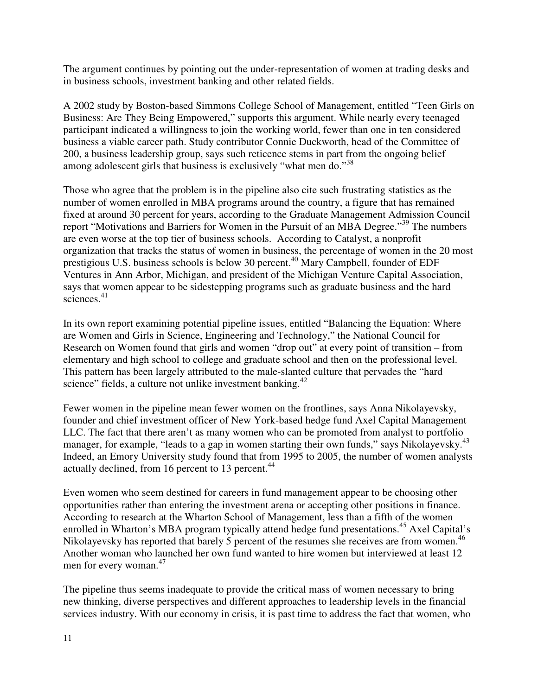The argument continues by pointing out the under-representation of women at trading desks and in business schools, investment banking and other related fields.

A 2002 study by Boston-based Simmons College School of Management, entitled "Teen Girls on Business: Are They Being Empowered," supports this argument. While nearly every teenaged participant indicated a willingness to join the working world, fewer than one in ten considered business a viable career path. Study contributor Connie Duckworth, head of the Committee of 200, a business leadership group, says such reticence stems in part from the ongoing belief among adolescent girls that business is exclusively "what men do."<sup>38</sup>

Those who agree that the problem is in the pipeline also cite such frustrating statistics as the number of women enrolled in MBA programs around the country, a figure that has remained fixed at around 30 percent for years, according to the Graduate Management Admission Council report "Motivations and Barriers for Women in the Pursuit of an MBA Degree."<sup>39</sup> The numbers are even worse at the top tier of business schools. According to Catalyst, a nonprofit organization that tracks the status of women in business, the percentage of women in the 20 most prestigious U.S. business schools is below 30 percent.<sup>40</sup> Mary Campbell, founder of EDF Ventures in Ann Arbor, Michigan, and president of the Michigan Venture Capital Association, says that women appear to be sidestepping programs such as graduate business and the hard sciences.<sup>41</sup>

In its own report examining potential pipeline issues, entitled "Balancing the Equation: Where are Women and Girls in Science, Engineering and Technology," the National Council for Research on Women found that girls and women "drop out" at every point of transition – from elementary and high school to college and graduate school and then on the professional level. This pattern has been largely attributed to the male-slanted culture that pervades the "hard science" fields, a culture not unlike investment banking.<sup>42</sup>

Fewer women in the pipeline mean fewer women on the frontlines, says Anna Nikolayevsky, founder and chief investment officer of New York-based hedge fund Axel Capital Management LLC. The fact that there aren't as many women who can be promoted from analyst to portfolio manager, for example, "leads to a gap in women starting their own funds," says Nikolayevsky.<sup>43</sup> Indeed, an Emory University study found that from 1995 to 2005, the number of women analysts actually declined, from 16 percent to 13 percent.<sup>44</sup>

Even women who seem destined for careers in fund management appear to be choosing other opportunities rather than entering the investment arena or accepting other positions in finance. According to research at the Wharton School of Management, less than a fifth of the women enrolled in Wharton's MBA program typically attend hedge fund presentations.<sup>45</sup> Axel Capital's Nikolayevsky has reported that barely 5 percent of the resumes she receives are from women.<sup>46</sup> Another woman who launched her own fund wanted to hire women but interviewed at least 12 men for every woman.<sup>47</sup>

The pipeline thus seems inadequate to provide the critical mass of women necessary to bring new thinking, diverse perspectives and different approaches to leadership levels in the financial services industry. With our economy in crisis, it is past time to address the fact that women, who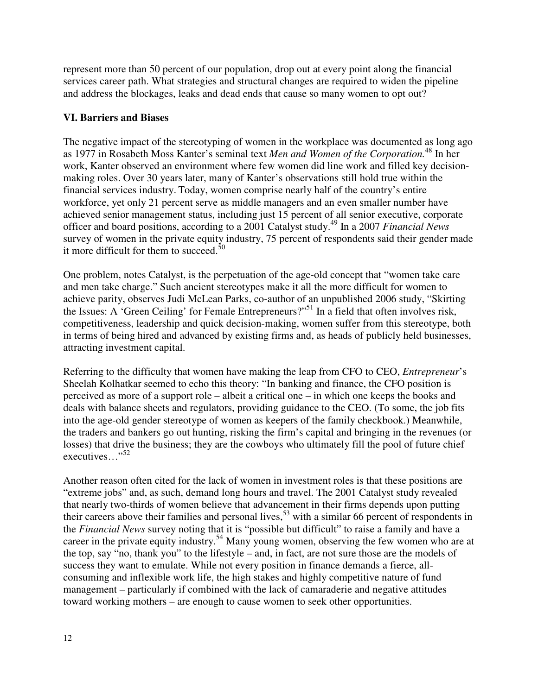represent more than 50 percent of our population, drop out at every point along the financial services career path. What strategies and structural changes are required to widen the pipeline and address the blockages, leaks and dead ends that cause so many women to opt out?

#### **VI. Barriers and Biases**

The negative impact of the stereotyping of women in the workplace was documented as long ago as 1977 in Rosabeth Moss Kanter's seminal text *Men and Women of the Corporation.*<sup>48</sup> In her work, Kanter observed an environment where few women did line work and filled key decisionmaking roles. Over 30 years later, many of Kanter's observations still hold true within the financial services industry. Today, women comprise nearly half of the country's entire workforce, yet only 21 percent serve as middle managers and an even smaller number have achieved senior management status, including just 15 percent of all senior executive, corporate officer and board positions, according to a 2001 Catalyst study.<sup>49</sup> In a 2007 *Financial News*  survey of women in the private equity industry, 75 percent of respondents said their gender made it more difficult for them to succeed.<sup>50</sup>

One problem, notes Catalyst, is the perpetuation of the age-old concept that "women take care and men take charge." Such ancient stereotypes make it all the more difficult for women to achieve parity, observes Judi McLean Parks, co-author of an unpublished 2006 study, "Skirting the Issues: A 'Green Ceiling' for Female Entrepreneurs?"<sup>51</sup> In a field that often involves risk, competitiveness, leadership and quick decision-making, women suffer from this stereotype, both in terms of being hired and advanced by existing firms and, as heads of publicly held businesses, attracting investment capital.

Referring to the difficulty that women have making the leap from CFO to CEO, *Entrepreneur*'s Sheelah Kolhatkar seemed to echo this theory: "In banking and finance, the CFO position is perceived as more of a support role – albeit a critical one – in which one keeps the books and deals with balance sheets and regulators, providing guidance to the CEO. (To some, the job fits into the age-old gender stereotype of women as keepers of the family checkbook.) Meanwhile, the traders and bankers go out hunting, risking the firm's capital and bringing in the revenues (or losses) that drive the business; they are the cowboys who ultimately fill the pool of future chief executives..."<sup>52</sup>

Another reason often cited for the lack of women in investment roles is that these positions are "extreme jobs" and, as such, demand long hours and travel. The 2001 Catalyst study revealed that nearly two-thirds of women believe that advancement in their firms depends upon putting their careers above their families and personal lives,<sup>53</sup> with a similar 66 percent of respondents in the *Financial News* survey noting that it is "possible but difficult" to raise a family and have a career in the private equity industry.<sup>54</sup> Many young women, observing the few women who are at the top, say "no, thank you" to the lifestyle – and, in fact, are not sure those are the models of success they want to emulate. While not every position in finance demands a fierce, allconsuming and inflexible work life, the high stakes and highly competitive nature of fund management – particularly if combined with the lack of camaraderie and negative attitudes toward working mothers – are enough to cause women to seek other opportunities.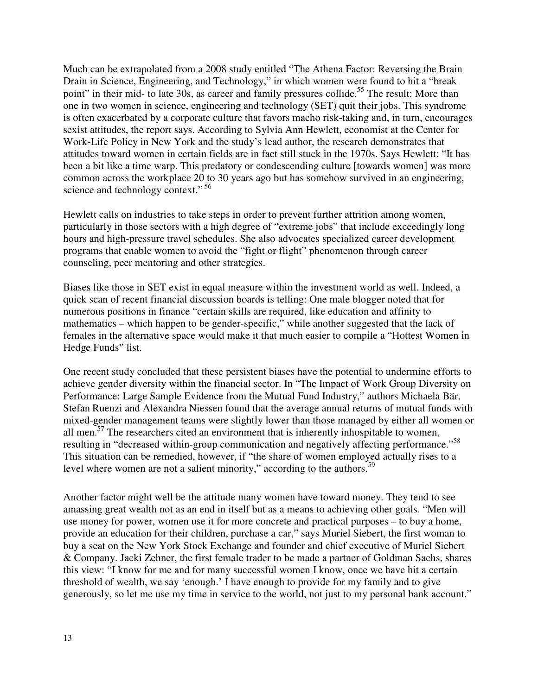Much can be extrapolated from a 2008 study entitled "The Athena Factor: Reversing the Brain Drain in Science, Engineering, and Technology," in which women were found to hit a "break point" in their mid- to late 30s, as career and family pressures collide.<sup>55</sup> The result: More than one in two women in science, engineering and technology (SET) quit their jobs. This syndrome is often exacerbated by a corporate culture that favors macho risk-taking and, in turn, encourages sexist attitudes, the report says. According to Sylvia Ann Hewlett, economist at the Center for Work-Life Policy in New York and the study's lead author, the research demonstrates that attitudes toward women in certain fields are in fact still stuck in the 1970s. Says Hewlett: "It has been a bit like a time warp. This predatory or condescending culture [towards women] was more common across the workplace 20 to 30 years ago but has somehow survived in an engineering, science and technology context."<sup>56</sup>

Hewlett calls on industries to take steps in order to prevent further attrition among women, particularly in those sectors with a high degree of "extreme jobs" that include exceedingly long hours and high-pressure travel schedules. She also advocates specialized career development programs that enable women to avoid the "fight or flight" phenomenon through career counseling, peer mentoring and other strategies.

Biases like those in SET exist in equal measure within the investment world as well. Indeed, a quick scan of recent financial discussion boards is telling: One male blogger noted that for numerous positions in finance "certain skills are required, like education and affinity to mathematics – which happen to be gender-specific," while another suggested that the lack of females in the alternative space would make it that much easier to compile a "Hottest Women in Hedge Funds" list.

One recent study concluded that these persistent biases have the potential to undermine efforts to achieve gender diversity within the financial sector. In "The Impact of Work Group Diversity on Performance: Large Sample Evidence from the Mutual Fund Industry," authors Michaela Bär, Stefan Ruenzi and Alexandra Niessen found that the average annual returns of mutual funds with mixed-gender management teams were slightly lower than those managed by either all women or all men.<sup>57</sup> The researchers cited an environment that is inherently inhospitable to women, resulting in "decreased within-group communication and negatively affecting performance."<sup>58</sup> This situation can be remedied, however, if "the share of women employed actually rises to a level where women are not a salient minority," according to the authors.<sup>59</sup>

Another factor might well be the attitude many women have toward money. They tend to see amassing great wealth not as an end in itself but as a means to achieving other goals. "Men will use money for power, women use it for more concrete and practical purposes – to buy a home, provide an education for their children, purchase a car," says Muriel Siebert, the first woman to buy a seat on the New York Stock Exchange and founder and chief executive of Muriel Siebert & Company. Jacki Zehner, the first female trader to be made a partner of Goldman Sachs, shares this view: "I know for me and for many successful women I know, once we have hit a certain threshold of wealth, we say 'enough.' I have enough to provide for my family and to give generously, so let me use my time in service to the world, not just to my personal bank account."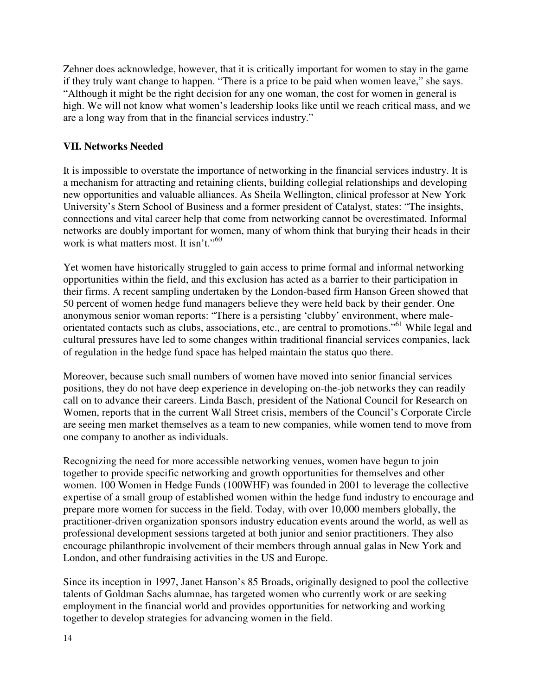Zehner does acknowledge, however, that it is critically important for women to stay in the game if they truly want change to happen. "There is a price to be paid when women leave," she says. "Although it might be the right decision for any one woman, the cost for women in general is high. We will not know what women's leadership looks like until we reach critical mass, and we are a long way from that in the financial services industry."

#### **VII. Networks Needed**

It is impossible to overstate the importance of networking in the financial services industry. It is a mechanism for attracting and retaining clients, building collegial relationships and developing new opportunities and valuable alliances. As Sheila Wellington, clinical professor at New York University's Stern School of Business and a former president of Catalyst, states: "The insights, connections and vital career help that come from networking cannot be overestimated. Informal networks are doubly important for women, many of whom think that burying their heads in their work is what matters most. It isn't."<sup>60</sup>

Yet women have historically struggled to gain access to prime formal and informal networking opportunities within the field, and this exclusion has acted as a barrier to their participation in their firms. A recent sampling undertaken by the London-based firm Hanson Green showed that 50 percent of women hedge fund managers believe they were held back by their gender. One anonymous senior woman reports: "There is a persisting 'clubby' environment, where maleorientated contacts such as clubs, associations, etc., are central to promotions."<sup>61</sup> While legal and cultural pressures have led to some changes within traditional financial services companies, lack of regulation in the hedge fund space has helped maintain the status quo there.

Moreover, because such small numbers of women have moved into senior financial services positions, they do not have deep experience in developing on-the-job networks they can readily call on to advance their careers. Linda Basch, president of the National Council for Research on Women, reports that in the current Wall Street crisis, members of the Council's Corporate Circle are seeing men market themselves as a team to new companies, while women tend to move from one company to another as individuals.

Recognizing the need for more accessible networking venues, women have begun to join together to provide specific networking and growth opportunities for themselves and other women. 100 Women in Hedge Funds (100WHF) was founded in 2001 to leverage the collective expertise of a small group of established women within the hedge fund industry to encourage and prepare more women for success in the field. Today, with over 10,000 members globally, the practitioner-driven organization sponsors industry education events around the world, as well as professional development sessions targeted at both junior and senior practitioners. They also encourage philanthropic involvement of their members through annual galas in New York and London, and other fundraising activities in the US and Europe.

Since its inception in 1997, Janet Hanson's 85 Broads, originally designed to pool the collective talents of Goldman Sachs alumnae, has targeted women who currently work or are seeking employment in the financial world and provides opportunities for networking and working together to develop strategies for advancing women in the field.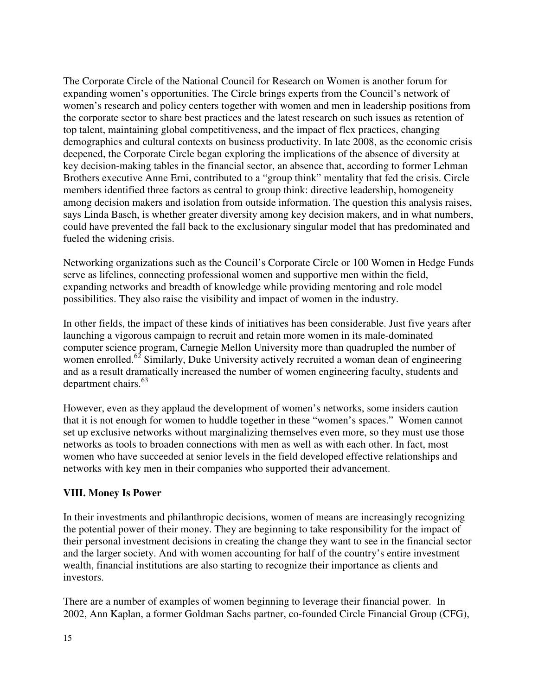The Corporate Circle of the National Council for Research on Women is another forum for expanding women's opportunities. The Circle brings experts from the Council's network of women's research and policy centers together with women and men in leadership positions from the corporate sector to share best practices and the latest research on such issues as retention of top talent, maintaining global competitiveness, and the impact of flex practices, changing demographics and cultural contexts on business productivity. In late 2008, as the economic crisis deepened, the Corporate Circle began exploring the implications of the absence of diversity at key decision-making tables in the financial sector, an absence that, according to former Lehman Brothers executive Anne Erni, contributed to a "group think" mentality that fed the crisis. Circle members identified three factors as central to group think: directive leadership, homogeneity among decision makers and isolation from outside information. The question this analysis raises, says Linda Basch, is whether greater diversity among key decision makers, and in what numbers, could have prevented the fall back to the exclusionary singular model that has predominated and fueled the widening crisis.

Networking organizations such as the Council's Corporate Circle or 100 Women in Hedge Funds serve as lifelines, connecting professional women and supportive men within the field, expanding networks and breadth of knowledge while providing mentoring and role model possibilities. They also raise the visibility and impact of women in the industry.

In other fields, the impact of these kinds of initiatives has been considerable. Just five years after launching a vigorous campaign to recruit and retain more women in its male-dominated computer science program, Carnegie Mellon University more than quadrupled the number of women enrolled.<sup>62</sup> Similarly, Duke University actively recruited a woman dean of engineering and as a result dramatically increased the number of women engineering faculty, students and department chairs.<sup>63</sup>

However, even as they applaud the development of women's networks, some insiders caution that it is not enough for women to huddle together in these "women's spaces." Women cannot set up exclusive networks without marginalizing themselves even more, so they must use those networks as tools to broaden connections with men as well as with each other. In fact, most women who have succeeded at senior levels in the field developed effective relationships and networks with key men in their companies who supported their advancement.

#### **VIII. Money Is Power**

In their investments and philanthropic decisions, women of means are increasingly recognizing the potential power of their money. They are beginning to take responsibility for the impact of their personal investment decisions in creating the change they want to see in the financial sector and the larger society. And with women accounting for half of the country's entire investment wealth, financial institutions are also starting to recognize their importance as clients and investors.

There are a number of examples of women beginning to leverage their financial power. In 2002, Ann Kaplan, a former Goldman Sachs partner, co-founded Circle Financial Group (CFG),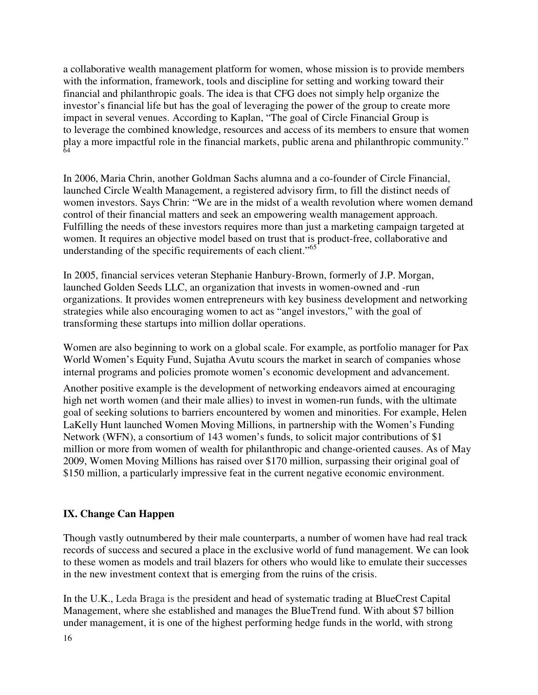a collaborative wealth management platform for women, whose mission is to provide members with the information, framework, tools and discipline for setting and working toward their financial and philanthropic goals. The idea is that CFG does not simply help organize the investor's financial life but has the goal of leveraging the power of the group to create more impact in several venues. According to Kaplan, "The goal of Circle Financial Group is to leverage the combined knowledge, resources and access of its members to ensure that women play a more impactful role in the financial markets, public arena and philanthropic community." 64

In 2006, Maria Chrin, another Goldman Sachs alumna and a co-founder of Circle Financial, launched Circle Wealth Management, a registered advisory firm, to fill the distinct needs of women investors. Says Chrin: "We are in the midst of a wealth revolution where women demand control of their financial matters and seek an empowering wealth management approach. Fulfilling the needs of these investors requires more than just a marketing campaign targeted at women. It requires an objective model based on trust that is product-free, collaborative and understanding of the specific requirements of each client."<sup>65</sup>

In 2005, financial services veteran Stephanie Hanbury-Brown, formerly of J.P. Morgan, launched Golden Seeds LLC, an organization that invests in women-owned and -run organizations. It provides women entrepreneurs with key business development and networking strategies while also encouraging women to act as "angel investors," with the goal of transforming these startups into million dollar operations.

Women are also beginning to work on a global scale. For example, as portfolio manager for Pax World Women's Equity Fund, Sujatha Avutu scours the market in search of companies whose internal programs and policies promote women's economic development and advancement.

Another positive example is the development of networking endeavors aimed at encouraging high net worth women (and their male allies) to invest in women-run funds, with the ultimate goal of seeking solutions to barriers encountered by women and minorities. For example, Helen LaKelly Hunt launched Women Moving Millions, in partnership with the Women's Funding Network (WFN), a consortium of 143 women's funds, to solicit major contributions of \$1 million or more from women of wealth for philanthropic and change-oriented causes. As of May 2009, Women Moving Millions has raised over \$170 million, surpassing their original goal of \$150 million, a particularly impressive feat in the current negative economic environment.

### **IX. Change Can Happen**

Though vastly outnumbered by their male counterparts, a number of women have had real track records of success and secured a place in the exclusive world of fund management. We can look to these women as models and trail blazers for others who would like to emulate their successes in the new investment context that is emerging from the ruins of the crisis.

In the U.K., Leda Braga is the president and head of systematic trading at BlueCrest Capital Management, where she established and manages the BlueTrend fund. With about \$7 billion under management, it is one of the highest performing hedge funds in the world, with strong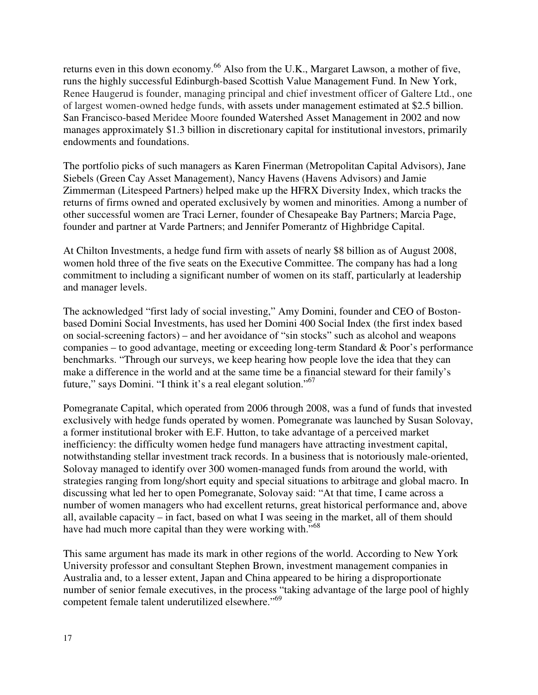returns even in this down economy.<sup>66</sup> Also from the U.K., Margaret Lawson, a mother of five, runs the highly successful Edinburgh-based Scottish Value Management Fund. In New York, Renee Haugerud is founder, managing principal and chief investment officer of Galtere Ltd., one of largest women-owned hedge funds, with assets under management estimated at \$2.5 billion. San Francisco-based Meridee Moore founded Watershed Asset Management in 2002 and now manages approximately \$1.3 billion in discretionary capital for institutional investors, primarily endowments and foundations.

The portfolio picks of such managers as Karen Finerman (Metropolitan Capital Advisors), Jane Siebels (Green Cay Asset Management), Nancy Havens (Havens Advisors) and Jamie Zimmerman (Litespeed Partners) helped make up the HFRX Diversity Index, which tracks the returns of firms owned and operated exclusively by women and minorities. Among a number of other successful women are Traci Lerner, founder of Chesapeake Bay Partners; Marcia Page, founder and partner at Varde Partners; and Jennifer Pomerantz of Highbridge Capital.

At Chilton Investments, a hedge fund firm with assets of nearly \$8 billion as of August 2008, women hold three of the five seats on the Executive Committee. The company has had a long commitment to including a significant number of women on its staff, particularly at leadership and manager levels.

The acknowledged "first lady of social investing," Amy Domini, founder and CEO of Bostonbased Domini Social Investments, has used her Domini 400 Social Index (the first index based on social-screening factors) – and her avoidance of "sin stocks" such as alcohol and weapons companies – to good advantage, meeting or exceeding long-term Standard & Poor's performance benchmarks. "Through our surveys, we keep hearing how people love the idea that they can make a difference in the world and at the same time be a financial steward for their family's future," says Domini. "I think it's a real elegant solution."<sup>67</sup>

Pomegranate Capital, which operated from 2006 through 2008, was a fund of funds that invested exclusively with hedge funds operated by women. Pomegranate was launched by Susan Solovay, a former institutional broker with E.F. Hutton, to take advantage of a perceived market inefficiency: the difficulty women hedge fund managers have attracting investment capital, notwithstanding stellar investment track records. In a business that is notoriously male-oriented, Solovay managed to identify over 300 women-managed funds from around the world, with strategies ranging from long/short equity and special situations to arbitrage and global macro. In discussing what led her to open Pomegranate, Solovay said: "At that time, I came across a number of women managers who had excellent returns, great historical performance and, above all, available capacity – in fact, based on what I was seeing in the market, all of them should have had much more capital than they were working with."<sup>68</sup>

This same argument has made its mark in other regions of the world. According to New York University professor and consultant Stephen Brown, investment management companies in Australia and, to a lesser extent, Japan and China appeared to be hiring a disproportionate number of senior female executives, in the process "taking advantage of the large pool of highly competent female talent underutilized elsewhere."<sup>69</sup>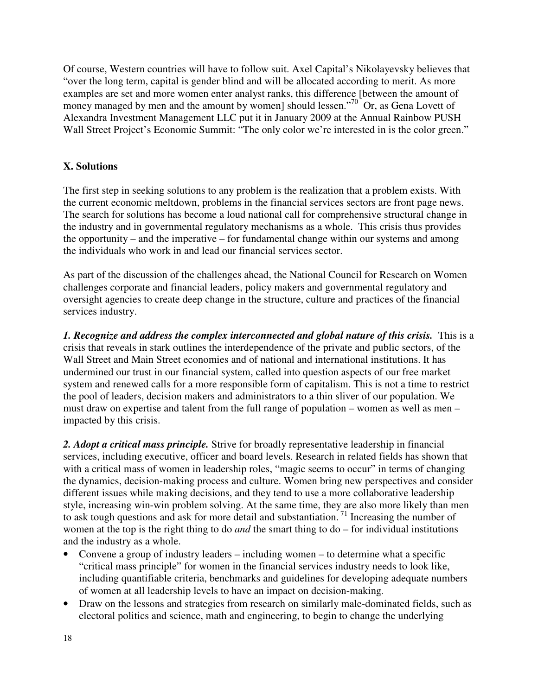Of course, Western countries will have to follow suit. Axel Capital's Nikolayevsky believes that "over the long term, capital is gender blind and will be allocated according to merit. As more examples are set and more women enter analyst ranks, this difference [between the amount of money managed by men and the amount by women] should lessen."<sup>70</sup> Or, as Gena Lovett of Alexandra Investment Management LLC put it in January 2009 at the Annual Rainbow PUSH Wall Street Project's Economic Summit: "The only color we're interested in is the color green."

#### **X. Solutions**

The first step in seeking solutions to any problem is the realization that a problem exists. With the current economic meltdown, problems in the financial services sectors are front page news. The search for solutions has become a loud national call for comprehensive structural change in the industry and in governmental regulatory mechanisms as a whole. This crisis thus provides the opportunity – and the imperative – for fundamental change within our systems and among the individuals who work in and lead our financial services sector.

As part of the discussion of the challenges ahead, the National Council for Research on Women challenges corporate and financial leaders, policy makers and governmental regulatory and oversight agencies to create deep change in the structure, culture and practices of the financial services industry.

*1. Recognize and address the complex interconnected and global nature of this crisis.* This is a crisis that reveals in stark outlines the interdependence of the private and public sectors, of the Wall Street and Main Street economies and of national and international institutions. It has undermined our trust in our financial system, called into question aspects of our free market system and renewed calls for a more responsible form of capitalism. This is not a time to restrict the pool of leaders, decision makers and administrators to a thin sliver of our population. We must draw on expertise and talent from the full range of population – women as well as men – impacted by this crisis.

*2. Adopt a critical mass principle.* Strive for broadly representative leadership in financial services, including executive, officer and board levels. Research in related fields has shown that with a critical mass of women in leadership roles, "magic seems to occur" in terms of changing the dynamics, decision-making process and culture. Women bring new perspectives and consider different issues while making decisions, and they tend to use a more collaborative leadership style, increasing win-win problem solving. At the same time, they are also more likely than men to ask tough questions and ask for more detail and substantiation.<sup>71</sup> Increasing the number of women at the top is the right thing to do *and* the smart thing to do – for individual institutions and the industry as a whole.

- Convene a group of industry leaders including women to determine what a specific "critical mass principle" for women in the financial services industry needs to look like, including quantifiable criteria, benchmarks and guidelines for developing adequate numbers of women at all leadership levels to have an impact on decision-making.
- Draw on the lessons and strategies from research on similarly male-dominated fields, such as electoral politics and science, math and engineering, to begin to change the underlying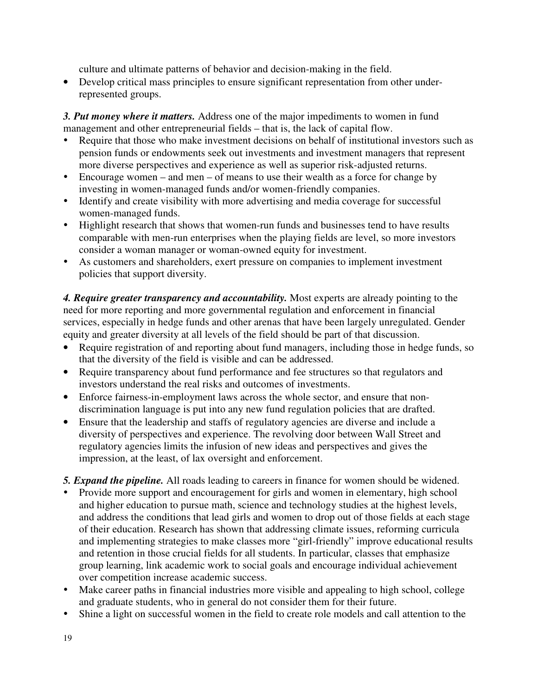culture and ultimate patterns of behavior and decision-making in the field.

• Develop critical mass principles to ensure significant representation from other underrepresented groups.

*3. Put money where it matters.* Address one of the major impediments to women in fund management and other entrepreneurial fields – that is, the lack of capital flow.

- Require that those who make investment decisions on behalf of institutional investors such as pension funds or endowments seek out investments and investment managers that represent more diverse perspectives and experience as well as superior risk-adjusted returns.
- Encourage women and men of means to use their wealth as a force for change by investing in women-managed funds and/or women-friendly companies.
- Identify and create visibility with more advertising and media coverage for successful women-managed funds.
- Highlight research that shows that women-run funds and businesses tend to have results comparable with men-run enterprises when the playing fields are level, so more investors consider a woman manager or woman-owned equity for investment.
- As customers and shareholders, exert pressure on companies to implement investment policies that support diversity.

*4. Require greater transparency and accountability.* Most experts are already pointing to the need for more reporting and more governmental regulation and enforcement in financial services, especially in hedge funds and other arenas that have been largely unregulated. Gender equity and greater diversity at all levels of the field should be part of that discussion.

- Require registration of and reporting about fund managers, including those in hedge funds, so that the diversity of the field is visible and can be addressed.
- Require transparency about fund performance and fee structures so that regulators and investors understand the real risks and outcomes of investments.
- Enforce fairness-in-employment laws across the whole sector, and ensure that nondiscrimination language is put into any new fund regulation policies that are drafted.
- Ensure that the leadership and staffs of regulatory agencies are diverse and include a diversity of perspectives and experience. The revolving door between Wall Street and regulatory agencies limits the infusion of new ideas and perspectives and gives the impression, at the least, of lax oversight and enforcement.
- *5. Expand the pipeline.* All roads leading to careers in finance for women should be widened.
- Provide more support and encouragement for girls and women in elementary, high school and higher education to pursue math, science and technology studies at the highest levels, and address the conditions that lead girls and women to drop out of those fields at each stage of their education. Research has shown that addressing climate issues, reforming curricula and implementing strategies to make classes more "girl-friendly" improve educational results and retention in those crucial fields for all students. In particular, classes that emphasize group learning, link academic work to social goals and encourage individual achievement over competition increase academic success.
- Make career paths in financial industries more visible and appealing to high school, college and graduate students, who in general do not consider them for their future.
- Shine a light on successful women in the field to create role models and call attention to the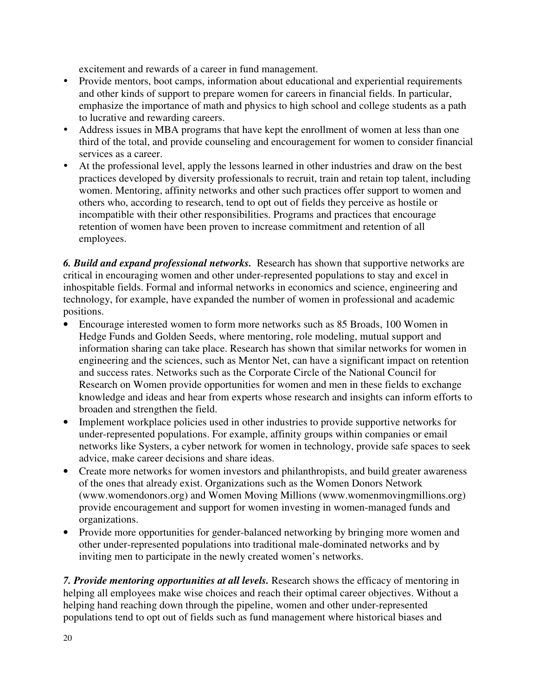excitement and rewards of a career in fund management.

- Provide mentors, boot camps, information about educational and experiential requirements and other kinds of support to prepare women for careers in financial fields. In particular, emphasize the importance of math and physics to high school and college students as a path to lucrative and rewarding careers.
- Address issues in MBA programs that have kept the enrollment of women at less than one third of the total, and provide counseling and encouragement for women to consider financial services as a career.
- At the professional level, apply the lessons learned in other industries and draw on the best practices developed by diversity professionals to recruit, train and retain top talent, including women. Mentoring, affinity networks and other such practices offer support to women and others who, according to research, tend to opt out of fields they perceive as hostile or incompatible with their other responsibilities. Programs and practices that encourage retention of women have been proven to increase commitment and retention of all employees.

*6. Build and expand professional networks.* Research has shown that supportive networks are critical in encouraging women and other under-represented populations to stay and excel in inhospitable fields. Formal and informal networks in economics and science, engineering and technology, for example, have expanded the number of women in professional and academic positions.

- Encourage interested women to form more networks such as 85 Broads, 100 Women in Hedge Funds and Golden Seeds, where mentoring, role modeling, mutual support and information sharing can take place. Research has shown that similar networks for women in engineering and the sciences, such as Mentor Net, can have a significant impact on retention and success rates. Networks such as the Corporate Circle of the National Council for Research on Women provide opportunities for women and men in these fields to exchange knowledge and ideas and hear from experts whose research and insights can inform efforts to broaden and strengthen the field.
- Implement workplace policies used in other industries to provide supportive networks for under-represented populations. For example, affinity groups within companies or email networks like Systers, a cyber network for women in technology, provide safe spaces to seek advice, make career decisions and share ideas.
- Create more networks for women investors and philanthropists, and build greater awareness of the ones that already exist. Organizations such as the Women Donors Network (www.womendonors.org) and Women Moving Millions (www.womenmovingmillions.org) provide encouragement and support for women investing in women-managed funds and organizations.
- Provide more opportunities for gender-balanced networking by bringing more women and other under-represented populations into traditional male-dominated networks and by inviting men to participate in the newly created women's networks.

*7. Provide mentoring opportunities at all levels.* Research shows the efficacy of mentoring in helping all employees make wise choices and reach their optimal career objectives. Without a helping hand reaching down through the pipeline, women and other under-represented populations tend to opt out of fields such as fund management where historical biases and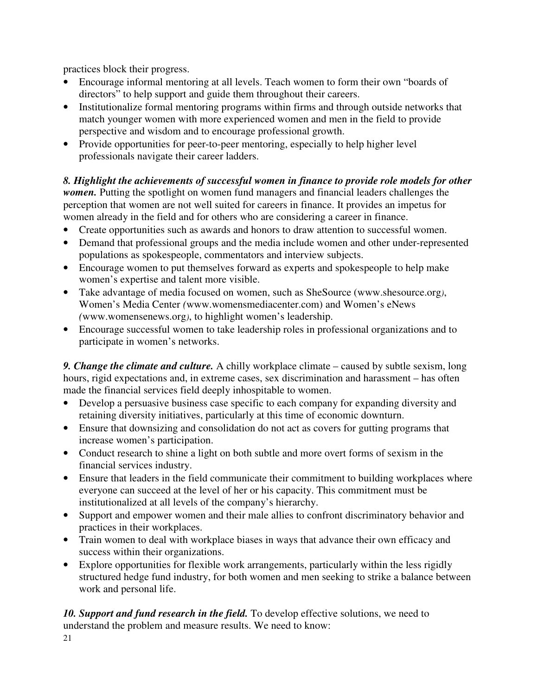practices block their progress.

- Encourage informal mentoring at all levels. Teach women to form their own "boards of directors" to help support and guide them throughout their careers.
- Institutionalize formal mentoring programs within firms and through outside networks that match younger women with more experienced women and men in the field to provide perspective and wisdom and to encourage professional growth.
- Provide opportunities for peer-to-peer mentoring, especially to help higher level professionals navigate their career ladders.

## *8. Highlight the achievements of successful women in finance to provide role models for other*

*women*. Putting the spotlight on women fund managers and financial leaders challenges the perception that women are not well suited for careers in finance. It provides an impetus for women already in the field and for others who are considering a career in finance.

- Create opportunities such as awards and honors to draw attention to successful women.
- Demand that professional groups and the media include women and other under-represented populations as spokespeople, commentators and interview subjects.
- Encourage women to put themselves forward as experts and spokespeople to help make women's expertise and talent more visible.
- Take advantage of media focused on women, such as SheSource (www.shesource.org*)*, Women's Media Center *(*www.womensmediacenter.com) and Women's eNews *(*www.womensenews.org*)*, to highlight women's leadership.
- Encourage successful women to take leadership roles in professional organizations and to participate in women's networks.

*9. Change the climate and culture.* A chilly workplace climate – caused by subtle sexism, long hours, rigid expectations and, in extreme cases, sex discrimination and harassment – has often made the financial services field deeply inhospitable to women.

- Develop a persuasive business case specific to each company for expanding diversity and retaining diversity initiatives, particularly at this time of economic downturn.
- Ensure that downsizing and consolidation do not act as covers for gutting programs that increase women's participation.
- Conduct research to shine a light on both subtle and more overt forms of sexism in the financial services industry.
- Ensure that leaders in the field communicate their commitment to building workplaces where everyone can succeed at the level of her or his capacity. This commitment must be institutionalized at all levels of the company's hierarchy.
- Support and empower women and their male allies to confront discriminatory behavior and practices in their workplaces.
- Train women to deal with workplace biases in ways that advance their own efficacy and success within their organizations.
- Explore opportunities for flexible work arrangements, particularly within the less rigidly structured hedge fund industry, for both women and men seeking to strike a balance between work and personal life.

*10. Support and fund research in the field.* To develop effective solutions, we need to understand the problem and measure results. We need to know: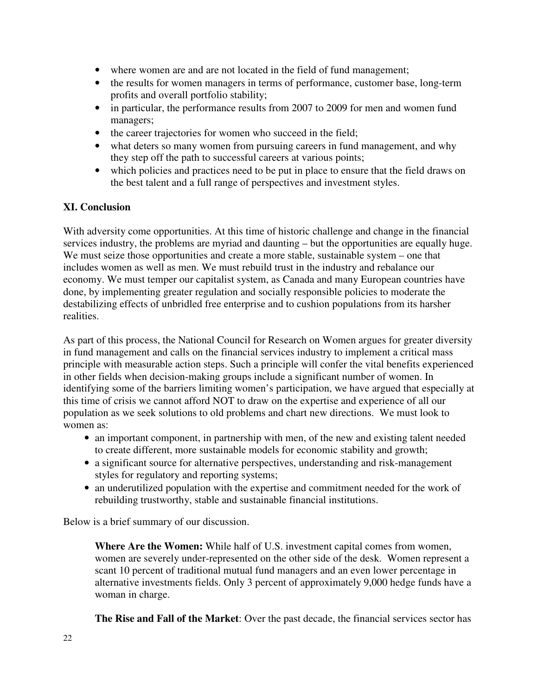- where women are and are not located in the field of fund management;
- the results for women managers in terms of performance, customer base, long-term profits and overall portfolio stability;
- in particular, the performance results from 2007 to 2009 for men and women fund managers;
- the career trajectories for women who succeed in the field;
- what deters so many women from pursuing careers in fund management, and why they step off the path to successful careers at various points;
- which policies and practices need to be put in place to ensure that the field draws on the best talent and a full range of perspectives and investment styles.

#### **XI. Conclusion**

With adversity come opportunities. At this time of historic challenge and change in the financial services industry, the problems are myriad and daunting – but the opportunities are equally huge. We must seize those opportunities and create a more stable, sustainable system – one that includes women as well as men. We must rebuild trust in the industry and rebalance our economy. We must temper our capitalist system, as Canada and many European countries have done, by implementing greater regulation and socially responsible policies to moderate the destabilizing effects of unbridled free enterprise and to cushion populations from its harsher realities.

As part of this process, the National Council for Research on Women argues for greater diversity in fund management and calls on the financial services industry to implement a critical mass principle with measurable action steps. Such a principle will confer the vital benefits experienced in other fields when decision-making groups include a significant number of women. In identifying some of the barriers limiting women's participation, we have argued that especially at this time of crisis we cannot afford NOT to draw on the expertise and experience of all our population as we seek solutions to old problems and chart new directions. We must look to women as:

- an important component, in partnership with men, of the new and existing talent needed to create different, more sustainable models for economic stability and growth;
- a significant source for alternative perspectives, understanding and risk-management styles for regulatory and reporting systems;
- an underutilized population with the expertise and commitment needed for the work of rebuilding trustworthy, stable and sustainable financial institutions.

Below is a brief summary of our discussion.

**Where Are the Women:** While half of U.S. investment capital comes from women, women are severely under-represented on the other side of the desk. Women represent a scant 10 percent of traditional mutual fund managers and an even lower percentage in alternative investments fields. Only 3 percent of approximately 9,000 hedge funds have a woman in charge.

**The Rise and Fall of the Market**: Over the past decade, the financial services sector has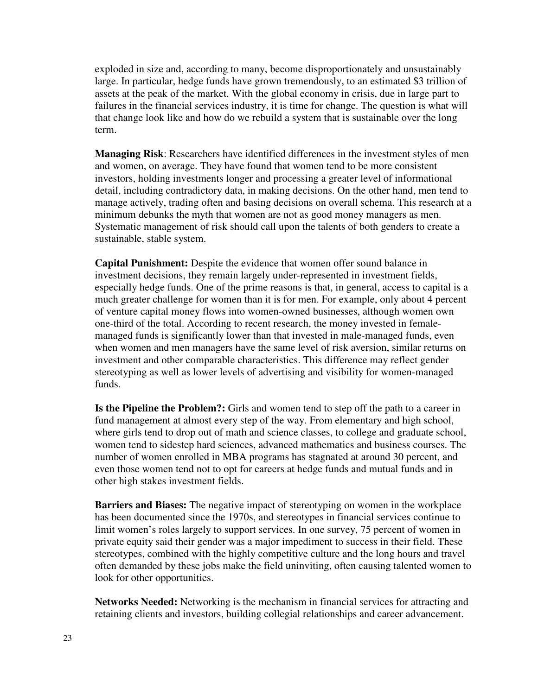exploded in size and, according to many, become disproportionately and unsustainably large. In particular, hedge funds have grown tremendously, to an estimated \$3 trillion of assets at the peak of the market. With the global economy in crisis, due in large part to failures in the financial services industry, it is time for change. The question is what will that change look like and how do we rebuild a system that is sustainable over the long term.

**Managing Risk**: Researchers have identified differences in the investment styles of men and women, on average. They have found that women tend to be more consistent investors, holding investments longer and processing a greater level of informational detail, including contradictory data, in making decisions. On the other hand, men tend to manage actively, trading often and basing decisions on overall schema. This research at a minimum debunks the myth that women are not as good money managers as men. Systematic management of risk should call upon the talents of both genders to create a sustainable, stable system.

**Capital Punishment:** Despite the evidence that women offer sound balance in investment decisions, they remain largely under-represented in investment fields, especially hedge funds. One of the prime reasons is that, in general, access to capital is a much greater challenge for women than it is for men. For example, only about 4 percent of venture capital money flows into women-owned businesses, although women own one-third of the total. According to recent research, the money invested in femalemanaged funds is significantly lower than that invested in male-managed funds, even when women and men managers have the same level of risk aversion, similar returns on investment and other comparable characteristics. This difference may reflect gender stereotyping as well as lower levels of advertising and visibility for women-managed funds.

**Is the Pipeline the Problem?:** Girls and women tend to step off the path to a career in fund management at almost every step of the way. From elementary and high school, where girls tend to drop out of math and science classes, to college and graduate school, women tend to sidestep hard sciences, advanced mathematics and business courses. The number of women enrolled in MBA programs has stagnated at around 30 percent, and even those women tend not to opt for careers at hedge funds and mutual funds and in other high stakes investment fields.

**Barriers and Biases:** The negative impact of stereotyping on women in the workplace has been documented since the 1970s, and stereotypes in financial services continue to limit women's roles largely to support services. In one survey, 75 percent of women in private equity said their gender was a major impediment to success in their field. These stereotypes, combined with the highly competitive culture and the long hours and travel often demanded by these jobs make the field uninviting, often causing talented women to look for other opportunities.

**Networks Needed:** Networking is the mechanism in financial services for attracting and retaining clients and investors, building collegial relationships and career advancement.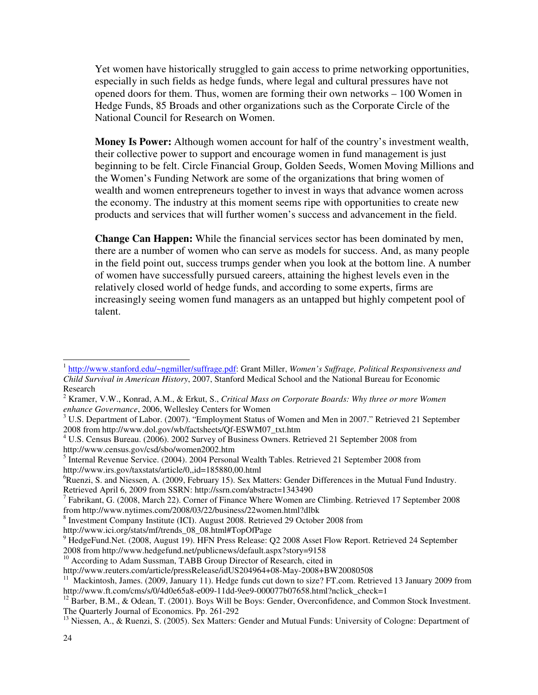Yet women have historically struggled to gain access to prime networking opportunities, especially in such fields as hedge funds, where legal and cultural pressures have not opened doors for them. Thus, women are forming their own networks – 100 Women in Hedge Funds, 85 Broads and other organizations such as the Corporate Circle of the National Council for Research on Women.

**Money Is Power:** Although women account for half of the country's investment wealth, their collective power to support and encourage women in fund management is just beginning to be felt. Circle Financial Group, Golden Seeds, Women Moving Millions and the Women's Funding Network are some of the organizations that bring women of wealth and women entrepreneurs together to invest in ways that advance women across the economy. The industry at this moment seems ripe with opportunities to create new products and services that will further women's success and advancement in the field.

**Change Can Happen:** While the financial services sector has been dominated by men, there are a number of women who can serve as models for success. And, as many people in the field point out, success trumps gender when you look at the bottom line. A number of women have successfully pursued careers, attaining the highest levels even in the relatively closed world of hedge funds, and according to some experts, firms are increasingly seeing women fund managers as an untapped but highly competent pool of talent.

<sup>6</sup>Ruenzi, S. and Niessen, A. (2009, February 15). Sex Matters: Gender Differences in the Mutual Fund Industry. Retrieved April 6, 2009 from SSRN: http://ssrn.com/abstract=1343490

http://www.ici.org/stats/mf/trends\_08\_08.html#TopOfPage

<sup>10</sup> According to Adam Sussman, TABB Group Director of Research, cited in

 1 http://www.stanford.edu/~ngmiller/suffrage.pdf: Grant Miller, *Women's Suffrage, Political Responsiveness and Child Survival in American History*, 2007, Stanford Medical School and the National Bureau for Economic Research

<sup>2</sup> Kramer, V.W., Konrad, A.M., & Erkut, S., *Critical Mass on Corporate Boards: Why three or more Women enhance Governance*, 2006, Wellesley Centers for Women

<sup>&</sup>lt;sup>3</sup> U.S. Department of Labor. (2007). "Employment Status of Women and Men in 2007." Retrieved 21 September 2008 from http://www.dol.gov/wb/factsheets/Qf-ESWM07\_txt.htm

<sup>4</sup> U.S. Census Bureau. (2006). 2002 Survey of Business Owners. Retrieved 21 September 2008 from http://www.census.gov/csd/sbo/women2002.htm

<sup>&</sup>lt;sup>5</sup> Internal Revenue Service. (2004). 2004 Personal Wealth Tables. Retrieved 21 September 2008 from http://www.irs.gov/taxstats/article/0,,id=185880,00.html

<sup>&</sup>lt;sup>7</sup> Fabrikant, G. (2008, March 22). Corner of Finance Where Women are Climbing. Retrieved 17 September 2008 from http://www.nytimes.com/2008/03/22/business/22women.html?dlbk

<sup>&</sup>lt;sup>8</sup> Investment Company Institute (ICI). August 2008. Retrieved 29 October 2008 from

<sup>&</sup>lt;sup>9</sup> HedgeFund.Net. (2008, August 19). HFN Press Release: Q2 2008 Asset Flow Report. Retrieved 24 September 2008 from http://www.hedgefund.net/publicnews/default.aspx?story=9158

http://www.reuters.com/article/pressRelease/idUS204964+08-May-2008+BW20080508

<sup>&</sup>lt;sup>11</sup> Mackintosh, James. (2009, January 11). Hedge funds cut down to size? FT.com. Retrieved 13 January 2009 from http://www.ft.com/cms/s/0/4d0e65a8-e009-11dd-9ee9-000077b07658.html?nclick\_check=1

 $12$  Barber, B.M., & Odean, T. (2001). Boys Will be Boys: Gender, Overconfidence, and Common Stock Investment. The Quarterly Journal of Economics. Pp. 261-292

<sup>&</sup>lt;sup>13</sup> Niessen, A., & Ruenzi, S. (2005). Sex Matters: Gender and Mutual Funds: University of Cologne: Department of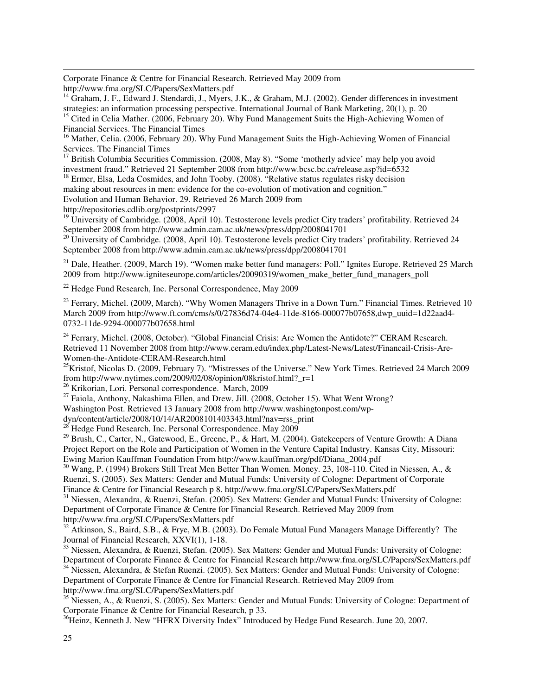Corporate Finance & Centre for Financial Research. Retrieved May 2009 from http://www.fma.org/SLC/Papers/SexMatters.pdf

<sup>14</sup> Graham, J. F., Edward J. Stendardi, J., Myers, J.K., & Graham, M.J. (2002). Gender differences in investment strategies: an information processing perspective. International Journal of Bank Marketing, 20(1), p. 20 <sup>15</sup> Cited in Celia Mather. (2006, February 20). Why Fund Management Suits the High-Achieving Women of

Financial Services. The Financial Times

<sup>16</sup> Mather, Celia. (2006, February 20). Why Fund Management Suits the High-Achieving Women of Financial Services. The Financial Times

<sup>17</sup> British Columbia Securities Commission. (2008, May 8). "Some 'motherly advice' may help you avoid investment fraud." Retrieved 21 September 2008 from http://www.bcsc.bc.ca/release.asp?id=6532

<sup>18</sup> Ermer, Elsa, Leda Cosmides, and John Tooby. (2008). "Relative status regulates risky decision making about resources in men: evidence for the co-evolution of motivation and cognition." Evolution and Human Behavior. 29. Retrieved 26 March 2009 from

http://repositories.cdlib.org/postprints/2997

-

 $19$  University of Cambridge. (2008, April 10). Testosterone levels predict City traders' profitability. Retrieved 24 September 2008 from http://www.admin.cam.ac.uk/news/press/dpp/2008041701

 $^{20}$  University of Cambridge. (2008, April 10). Testosterone levels predict City traders' profitability. Retrieved 24 September 2008 from http://www.admin.cam.ac.uk/news/press/dpp/2008041701

<sup>21</sup> Dale, Heather. (2009, March 19). "Women make better fund managers: Poll." Ignites Europe. Retrieved 25 March 2009 from http://www.igniteseurope.com/articles/20090319/women\_make\_better\_fund\_managers\_poll

 $22$  Hedge Fund Research, Inc. Personal Correspondence, May 2009

<sup>23</sup> Ferrary, Michel. (2009, March). "Why Women Managers Thrive in a Down Turn." Financial Times. Retrieved 10 March 2009 from http://www.ft.com/cms/s/0/27836d74-04e4-11de-8166-000077b07658,dwp\_uuid=1d22aad4- 0732-11de-9294-000077b07658.html

<sup>24</sup> Ferrary, Michel. (2008, October). "Global Financial Crisis: Are Women the Antidote?" CERAM Research. Retrieved 11 November 2008 from http://www.ceram.edu/index.php/Latest-News/Latest/Financail-Crisis-Are-Women-the-Antidote-CERAM-Research.html

<sup>25</sup>Kristof, Nicolas D. (2009, February 7). "Mistresses of the Universe." New York Times. Retrieved 24 March 2009 from http://www.nytimes.com/2009/02/08/opinion/08kristof.html?\_r=1

<sup>26</sup> Krikorian, Lori. Personal correspondence. March, 2009

 $27$  Faiola, Anthony, Nakashima Ellen, and Drew, Jill. (2008, October 15). What Went Wrong?

Washington Post. Retrieved 13 January 2008 from http://www.washingtonpost.com/wp-

dyn/content/article/2008/10/14/AR2008101403343.html?nav=rss\_print

 $^{28}$  Hedge Fund Research, Inc. Personal Correspondence. May 2009

<sup>29</sup> Brush, C., Carter, N., Gatewood, E., Greene, P., & Hart, M. (2004). Gatekeepers of Venture Growth: A Diana Project Report on the Role and Participation of Women in the Venture Capital Industry. Kansas City, Missouri: Ewing Marion Kauffman Foundation From http://www.kauffman.org/pdf/Diana\_2004.pdf

 $30$  Wang, P. (1994) Brokers Still Treat Men Better Than Women. Money. 23, 108-110. Cited in Niessen, A., & Ruenzi, S. (2005). Sex Matters: Gender and Mutual Funds: University of Cologne: Department of Corporate Finance & Centre for Financial Research p 8. http://www.fma.org/SLC/Papers/SexMatters.pdf

<sup>31</sup> Niessen, Alexandra, & Ruenzi, Stefan. (2005). Sex Matters: Gender and Mutual Funds: University of Cologne: Department of Corporate Finance & Centre for Financial Research. Retrieved May 2009 from http://www.fma.org/SLC/Papers/SexMatters.pdf

<sup>32</sup> Atkinson, S., Baird, S.B., & Frye, M.B. (2003). Do Female Mutual Fund Managers Manage Differently? The Journal of Financial Research, XXVI(1), 1-18.

<sup>33</sup> Niessen, Alexandra, & Ruenzi, Stefan. (2005). Sex Matters: Gender and Mutual Funds: University of Cologne: Department of Corporate Finance & Centre for Financial Research http://www.fma.org/SLC/Papers/SexMatters.pdf

<sup>34</sup> Niessen, Alexandra, & Stefan Ruenzi. (2005). Sex Matters: Gender and Mutual Funds: University of Cologne: Department of Corporate Finance & Centre for Financial Research. Retrieved May 2009 from http://www.fma.org/SLC/Papers/SexMatters.pdf

<sup>35</sup> Niessen, A., & Ruenzi, S. (2005). Sex Matters: Gender and Mutual Funds: University of Cologne: Department of Corporate Finance & Centre for Financial Research, p 33.

<sup>36</sup>Heinz, Kenneth J. New "HFRX Diversity Index" Introduced by Hedge Fund Research. June 20, 2007.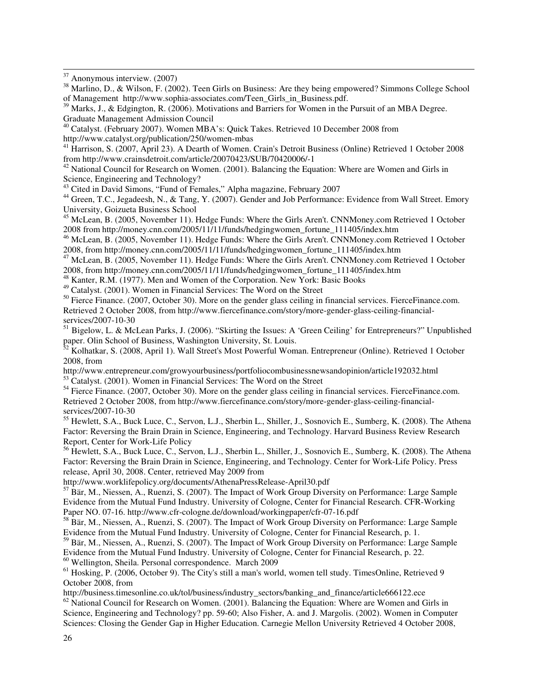$37$  Anonymous interview. (2007)

-

<sup>38</sup> Marlino, D., & Wilson, F. (2002). Teen Girls on Business: Are they being empowered? Simmons College School of Management http://www.sophia-associates.com/Teen\_Girls\_in\_Business.pdf.

<sup>39</sup> Marks, J., & Edgington, R. (2006). Motivations and Barriers for Women in the Pursuit of an MBA Degree. Graduate Management Admission Council

<sup>40</sup> Catalyst. (February 2007). Women MBA's: Quick Takes. Retrieved 10 December 2008 from http://www.catalyst.org/publication/250/women-mbas

<sup>41</sup> Harrison, S. (2007, April 23). A Dearth of Women. Crain's Detroit Business (Online) Retrieved 1 October 2008 from http://www.crainsdetroit.com/article/20070423/SUB/70420006/-1

<sup>42</sup> National Council for Research on Women. (2001). Balancing the Equation: Where are Women and Girls in Science, Engineering and Technology?

<sup>43</sup> Cited in David Simons, "Fund of Females," Alpha magazine, February 2007

<sup>44</sup> Green, T.C., Jegadeesh, N., & Tang, Y. (2007). Gender and Job Performance: Evidence from Wall Street. Emory University, Goizueta Business School

<sup>45</sup> McLean, B. (2005, November 11). Hedge Funds: Where the Girls Aren't. CNNMoney.com Retrieved 1 October 2008 from http://money.cnn.com/2005/11/11/funds/hedgingwomen\_fortune\_111405/index.htm

<sup>46</sup> McLean, B. (2005, November 11). Hedge Funds: Where the Girls Aren't. CNNMoney.com Retrieved 1 October 2008, from http://money.cnn.com/2005/11/11/funds/hedgingwomen\_fortune\_111405/index.htm

47 McLean, B. (2005, November 11). Hedge Funds: Where the Girls Aren't. CNNMoney.com Retrieved 1 October 2008, from http://money.cnn.com/2005/11/11/funds/hedgingwomen\_fortune\_111405/index.htm

<sup>48</sup> Kanter, R.M. (1977). Men and Women of the Corporation. New York: Basic Books

<sup>49</sup> Catalyst. (2001). Women in Financial Services: The Word on the Street

<sup>50</sup> Fierce Finance. (2007, October 30). More on the gender glass ceiling in financial services. FierceFinance.com. Retrieved 2 October 2008, from http://www.fiercefinance.com/story/more-gender-glass-ceiling-financialservices/2007-10-30

<sup>51</sup> Bigelow, L. & McLean Parks, J. (2006). "Skirting the Issues: A 'Green Ceiling' for Entrepreneurs?" Unpublished paper. Olin School of Business, Washington University, St. Louis.

<sup>52</sup> Kolhatkar, S. (2008, April 1). Wall Street's Most Powerful Woman. Entrepreneur (Online). Retrieved 1 October 2008, from

http://www.entrepreneur.com/growyourbusiness/portfoliocombusinessnewsandopinion/article192032.html

<sup>53</sup> Catalyst. (2001). Women in Financial Services: The Word on the Street

<sup>54</sup> Fierce Finance. (2007, October 30). More on the gender glass ceiling in financial services. FierceFinance.com. Retrieved 2 October 2008, from http://www.fiercefinance.com/story/more-gender-glass-ceiling-financialservices/2007-10-30

<sup>55</sup> Hewlett, S.A., Buck Luce, C., Servon, L.J., Sherbin L., Shiller, J., Sosnovich E., Sumberg, K. (2008). The Athena Factor: Reversing the Brain Drain in Science, Engineering, and Technology. Harvard Business Review Research Report, Center for Work-Life Policy

<sup>56</sup> Hewlett, S.A., Buck Luce, C., Servon, L.J., Sherbin L., Shiller, J., Sosnovich E., Sumberg, K. (2008). The Athena Factor: Reversing the Brain Drain in Science, Engineering, and Technology. Center for Work-Life Policy. Press release, April 30, 2008. Center, retrieved May 2009 from

http://www.worklifepolicy.org/documents/AthenaPressRelease-April30.pdf

<sup>57</sup> Bär, M., Niessen, A., Ruenzi, S. (2007). The Impact of Work Group Diversity on Performance: Large Sample Evidence from the Mutual Fund Industry. University of Cologne, Center for Financial Research. CFR-Working Paper NO. 07-16. http://www.cfr-cologne.de/download/workingpaper/cfr-07-16.pdf

<sup>58</sup> Bär, M., Niessen, A., Ruenzi, S. (2007). The Impact of Work Group Diversity on Performance: Large Sample Evidence from the Mutual Fund Industry. University of Cologne, Center for Financial Research, p. 1.

<sup>59</sup> Bär, M., Niessen, A., Ruenzi, S. (2007). The Impact of Work Group Diversity on Performance: Large Sample Evidence from the Mutual Fund Industry. University of Cologne, Center for Financial Research, p. 22. <sup>60</sup> Wellington, Sheila. Personal correspondence. March 2009

<sup>61</sup> Hosking, P. (2006, October 9). The City's still a man's world, women tell study. TimesOnline, Retrieved 9 October 2008, from

http://business.timesonline.co.uk/tol/business/industry\_sectors/banking\_and\_finance/article666122.ece

 $62$  National Council for Research on Women. (2001). Balancing the Equation: Where are Women and Girls in Science, Engineering and Technology? pp. 59-60; Also Fisher, A. and J. Margolis. (2002). Women in Computer Sciences: Closing the Gender Gap in Higher Education. Carnegie Mellon University Retrieved 4 October 2008,